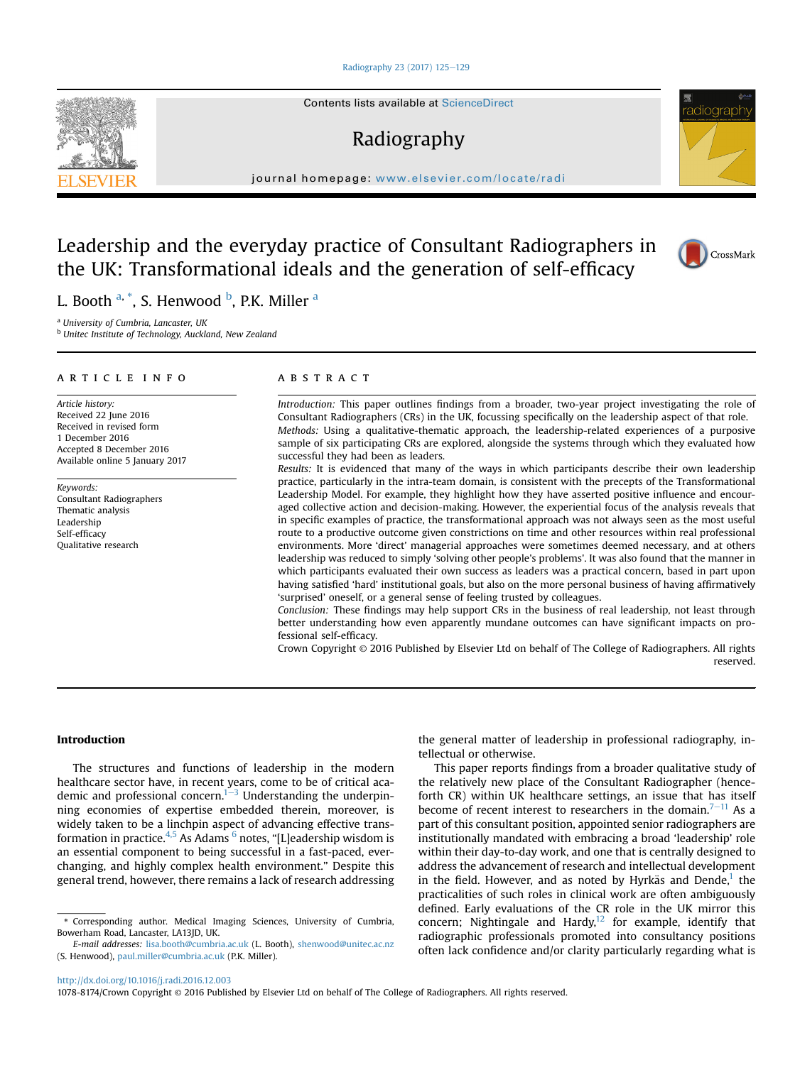### [Radiography 23 \(2017\) 125](http://dx.doi.org/10.1016/j.radi.2016.12.003)-[129](http://dx.doi.org/10.1016/j.radi.2016.12.003)

Contents lists available at [ScienceDirect](www.sciencedirect.com/science/journal/10788174)

# Radiography

journal homepage: [www.elsevier.com/locate/radi](http://www.elsevier.com/locate/radi)

## Leadership and the everyday practice of Consultant Radiographers in the UK: Transformational ideals and the generation of self-efficacy





L. Booth <sup>a, \*</sup>, S. Henwood <sup>b</sup>, P.K. Miller <sup>a</sup>

<sup>a</sup> University of Cumbria, Lancaster, UK

**b** Unitec Institute of Technology, Auckland, New Zealand

### article info

Article history: Received 22 June 2016 Received in revised form 1 December 2016 Accepted 8 December 2016 Available online 5 January 2017

Keywords: Consultant Radiographers Thematic analysis Leadership Self-efficacy Qualitative research

## ABSTRACT

Introduction: This paper outlines findings from a broader, two-year project investigating the role of Consultant Radiographers (CRs) in the UK, focussing specifically on the leadership aspect of that role. Methods: Using a qualitative-thematic approach, the leadership-related experiences of a purposive sample of six participating CRs are explored, alongside the systems through which they evaluated how successful they had been as leaders.

Results: It is evidenced that many of the ways in which participants describe their own leadership practice, particularly in the intra-team domain, is consistent with the precepts of the Transformational Leadership Model. For example, they highlight how they have asserted positive influence and encouraged collective action and decision-making. However, the experiential focus of the analysis reveals that in specific examples of practice, the transformational approach was not always seen as the most useful route to a productive outcome given constrictions on time and other resources within real professional environments. More 'direct' managerial approaches were sometimes deemed necessary, and at others leadership was reduced to simply 'solving other people's problems'. It was also found that the manner in which participants evaluated their own success as leaders was a practical concern, based in part upon having satisfied 'hard' institutional goals, but also on the more personal business of having affirmatively 'surprised' oneself, or a general sense of feeling trusted by colleagues.

Conclusion: These findings may help support CRs in the business of real leadership, not least through better understanding how even apparently mundane outcomes can have significant impacts on professional self-efficacy.

Crown Copyright © 2016 Published by Elsevier Ltd on behalf of The College of Radiographers. All rights reserved.

## Introduction

The structures and functions of leadership in the modern healthcare sector have, in recent years, come to be of critical aca-demic and professional concern.<sup>[1](#page-4-0)–[3](#page-4-0)</sup> Understanding the underpinning economies of expertise embedded therein, moreover, is widely taken to be a linchpin aspect of advancing effective transformation in practice. $4,5$  As Adams  $6$  notes, "[L]eadership wisdom is an essential component to being successful in a fast-paced, everchanging, and highly complex health environment." Despite this general trend, however, there remains a lack of research addressing the general matter of leadership in professional radiography, intellectual or otherwise.

This paper reports findings from a broader qualitative study of the relatively new place of the Consultant Radiographer (henceforth CR) within UK healthcare settings, an issue that has itself become of recent interest to researchers in the domain.<sup>7-[11](#page-4-0)</sup> As a part of this consultant position, appointed senior radiographers are institutionally mandated with embracing a broad 'leadership' role within their day-to-day work, and one that is centrally designed to address the advancement of research and intellectual development in the field. However, and as noted by Hyrkäs and Dende, $<sup>1</sup>$  $<sup>1</sup>$  $<sup>1</sup>$  the</sup> practicalities of such roles in clinical work are often ambiguously defined. Early evaluations of the CR role in the UK mirror this concern; Nightingale and Hardy, $12$  for example, identify that radiographic professionals promoted into consultancy positions often lack confidence and/or clarity particularly regarding what is

<http://dx.doi.org/10.1016/j.radi.2016.12.003>

1078-8174/Crown Copyright © 2016 Published by Elsevier Ltd on behalf of The College of Radiographers. All rights reserved.



<sup>\*</sup> Corresponding author. Medical Imaging Sciences, University of Cumbria, Bowerham Road, Lancaster, LA13JD, UK.

E-mail addresses: [lisa.booth@cumbria.ac.uk](mailto:lisa.booth@cumbria.ac.uk) (L. Booth), [shenwood@unitec.ac.nz](mailto:shenwood@unitec.ac.nz) (S. Henwood), [paul.miller@cumbria.ac.uk](mailto:paul.miller@cumbria.ac.uk) (P.K. Miller).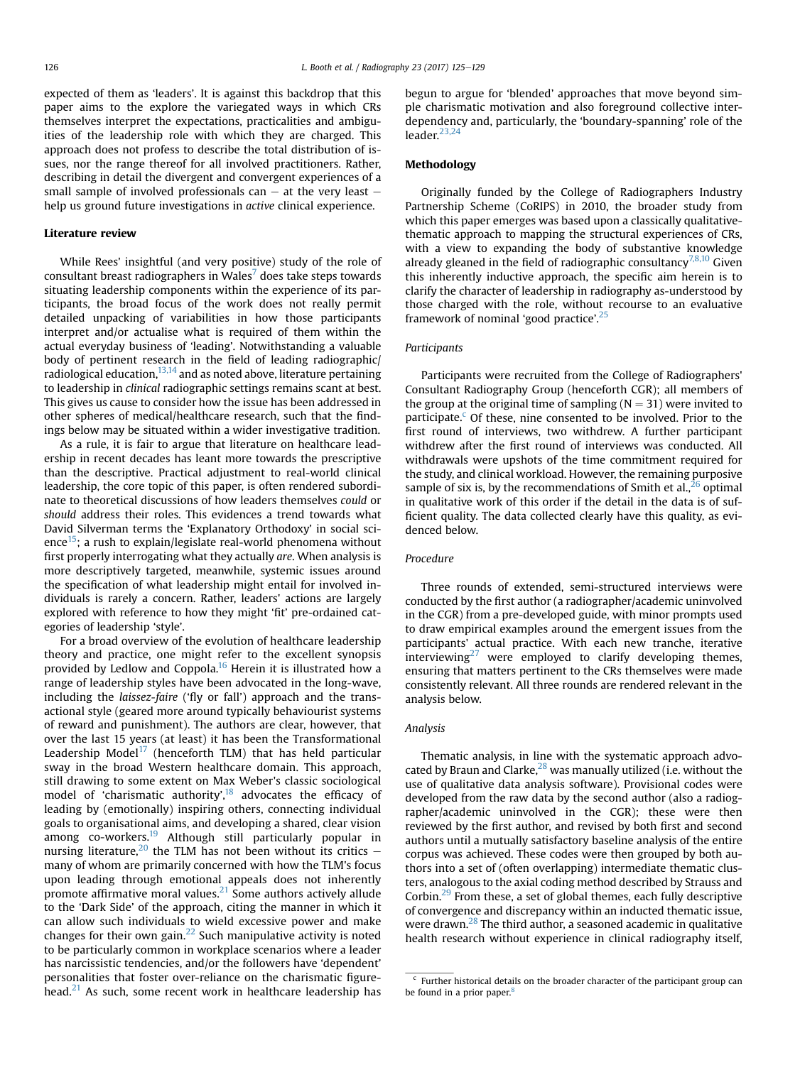expected of them as 'leaders'. It is against this backdrop that this paper aims to the explore the variegated ways in which CRs themselves interpret the expectations, practicalities and ambiguities of the leadership role with which they are charged. This approach does not profess to describe the total distribution of issues, nor the range thereof for all involved practitioners. Rather, describing in detail the divergent and convergent experiences of a small sample of involved professionals can  $-$  at the very least  $$ help us ground future investigations in active clinical experience.

### Literature review

While Rees' insightful (and very positive) study of the role of consultant breast radiographers in Wales $\prime$  does take steps towards situating leadership components within the experience of its participants, the broad focus of the work does not really permit detailed unpacking of variabilities in how those participants interpret and/or actualise what is required of them within the actual everyday business of 'leading'. Notwithstanding a valuable body of pertinent research in the field of leading radiographic/ radiological education, $13,14$  and as noted above, literature pertaining to leadership in clinical radiographic settings remains scant at best. This gives us cause to consider how the issue has been addressed in other spheres of medical/healthcare research, such that the findings below may be situated within a wider investigative tradition.

As a rule, it is fair to argue that literature on healthcare leadership in recent decades has leant more towards the prescriptive than the descriptive. Practical adjustment to real-world clinical leadership, the core topic of this paper, is often rendered subordinate to theoretical discussions of how leaders themselves could or should address their roles. This evidences a trend towards what David Silverman terms the 'Explanatory Orthodoxy' in social sci-ence<sup>[15](#page-4-0)</sup>; a rush to explain/legislate real-world phenomena without first properly interrogating what they actually are. When analysis is more descriptively targeted, meanwhile, systemic issues around the specification of what leadership might entail for involved individuals is rarely a concern. Rather, leaders' actions are largely explored with reference to how they might 'fit' pre-ordained categories of leadership 'style'.

For a broad overview of the evolution of healthcare leadership theory and practice, one might refer to the excellent synopsis provided by Ledlow and Coppola.[16](#page-4-0) Herein it is illustrated how a range of leadership styles have been advocated in the long-wave, including the laissez-faire ('fly or fall') approach and the transactional style (geared more around typically behaviourist systems of reward and punishment). The authors are clear, however, that over the last 15 years (at least) it has been the Transformational Leadership Model<sup>[17](#page-4-0)</sup> (henceforth TLM) that has held particular sway in the broad Western healthcare domain. This approach, still drawing to some extent on Max Weber's classic sociological model of 'charismatic authority',<sup>[18](#page-4-0)</sup> advocates the efficacy of leading by (emotionally) inspiring others, connecting individual goals to organisational aims, and developing a shared, clear vision among co-workers.<sup>19</sup> Although still particularly popular in nursing literature, $^{20}$  $^{20}$  $^{20}$  the TLM has not been without its critics  $$ many of whom are primarily concerned with how the TLM's focus upon leading through emotional appeals does not inherently promote affirmative moral values.[21](#page-4-0) Some authors actively allude to the 'Dark Side' of the approach, citing the manner in which it can allow such individuals to wield excessive power and make changes for their own gain. $^{22}$  $^{22}$  $^{22}$  Such manipulative activity is noted to be particularly common in workplace scenarios where a leader has narcissistic tendencies, and/or the followers have 'dependent' personalities that foster over-reliance on the charismatic figure-head.<sup>[21](#page-4-0)</sup> As such, some recent work in healthcare leadership has begun to argue for 'blended' approaches that move beyond simple charismatic motivation and also foreground collective interdependency and, particularly, the 'boundary-spanning' role of the leader. $23,24$ 

## Methodology

Originally funded by the College of Radiographers Industry Partnership Scheme (CoRIPS) in 2010, the broader study from which this paper emerges was based upon a classically qualitativethematic approach to mapping the structural experiences of CRs, with a view to expanding the body of substantive knowledge already gleaned in the field of radiographic consultancy<sup>[7,8,10](#page-4-0)</sup> Given this inherently inductive approach, the specific aim herein is to clarify the character of leadership in radiography as-understood by those charged with the role, without recourse to an evaluative framework of nominal 'good practice'.<sup>[25](#page-4-0)</sup>

## **Participants**

Participants were recruited from the College of Radiographers' Consultant Radiography Group (henceforth CGR); all members of the group at the original time of sampling  $(N = 31)$  were invited to participate. $\epsilon$  Of these, nine consented to be involved. Prior to the first round of interviews, two withdrew. A further participant withdrew after the first round of interviews was conducted. All withdrawals were upshots of the time commitment required for the study, and clinical workload. However, the remaining purposive sample of six is, by the recommendations of Smith et al.,  $^{26}$  $^{26}$  $^{26}$  optimal in qualitative work of this order if the detail in the data is of sufficient quality. The data collected clearly have this quality, as evidenced below.

## Procedure

Three rounds of extended, semi-structured interviews were conducted by the first author (a radiographer/academic uninvolved in the CGR) from a pre-developed guide, with minor prompts used to draw empirical examples around the emergent issues from the participants' actual practice. With each new tranche, iterative interviewing<sup>[27](#page-4-0)</sup> were employed to clarify developing themes, ensuring that matters pertinent to the CRs themselves were made consistently relevant. All three rounds are rendered relevant in the analysis below.

#### Analysis

Thematic analysis, in line with the systematic approach advocated by Braun and Clarke, $^{28}$  $^{28}$  $^{28}$  was manually utilized (i.e. without the use of qualitative data analysis software). Provisional codes were developed from the raw data by the second author (also a radiographer/academic uninvolved in the CGR); these were then reviewed by the first author, and revised by both first and second authors until a mutually satisfactory baseline analysis of the entire corpus was achieved. These codes were then grouped by both authors into a set of (often overlapping) intermediate thematic clusters, analogous to the axial coding method described by Strauss and Corbin.<sup>[29](#page-4-0)</sup> From these, a set of global themes, each fully descriptive of convergence and discrepancy within an inducted thematic issue, were drawn. $^{28}$  $^{28}$  $^{28}$  The third author, a seasoned academic in qualitative health research without experience in clinical radiography itself,

 $c$  Further historical details on the broader character of the participant group can be found in a prior paper.<sup>[8](#page-4-0)</sup>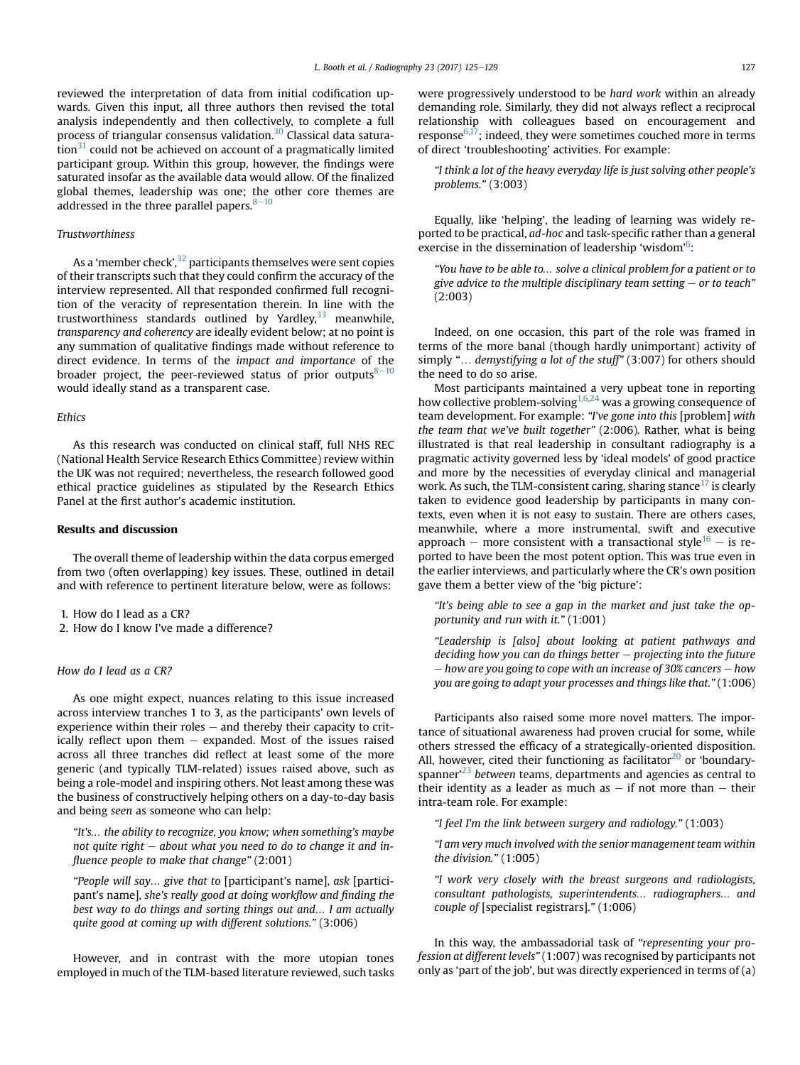reviewed the interpretation of data from initial codification upwards. Given this input, all three authors then revised the total analysis independently and then collectively, to complete a full process of triangular consensus validation.[30](#page-4-0) Classical data satura- $\frac{1}{100}$  could not be achieved on account of a pragmatically limited participant group. Within this group, however, the findings were saturated insofar as the available data would allow. Of the finalized global themes, leadership was one; the other core themes are addressed in the three parallel papers. $8-10$  $8-10$  $8-10$ 

## Trustworthiness

As a 'member check',<sup>[32](#page-4-0)</sup> participants themselves were sent copies of their transcripts such that they could confirm the accuracy of the interview represented. All that responded confirmed full recognition of the veracity of representation therein. In line with the trustworthiness standards outlined by Yardley,  $33$  meanwhile, transparency and coherency are ideally evident below; at no point is any summation of qualitative findings made without reference to direct evidence. In terms of the impact and importance of the broader project, the peer-reviewed status of prior outputs $8-10$  $8-10$  $8-10$ would ideally stand as a transparent case.

### Ethics

As this research was conducted on clinical staff, full NHS REC (National Health Service Research Ethics Committee) review within the UK was not required; nevertheless, the research followed good ethical practice guidelines as stipulated by the Research Ethics Panel at the first author's academic institution.

## Results and discussion

The overall theme of leadership within the data corpus emerged from two (often overlapping) key issues. These, outlined in detail and with reference to pertinent literature below, were as follows:

1. How do I lead as a CR?

2. How do I know I've made a difference?

## How do I lead as a CR?

As one might expect, nuances relating to this issue increased across interview tranches 1 to 3, as the participants' own levels of experience within their roles  $-$  and thereby their capacity to critically reflect upon them  $-$  expanded. Most of the issues raised across all three tranches did reflect at least some of the more generic (and typically TLM-related) issues raised above, such as being a role-model and inspiring others. Not least among these was the business of constructively helping others on a day-to-day basis and being seen as someone who can help:

"It's… the ability to recognize, you know; when something's maybe not quite right  $-$  about what you need to do to change it and influence people to make that change" (2:001)

"People will say… give that to [participant's name], ask [participant's name], she's really good at doing workflow and finding the best way to do things and sorting things out and… I am actually quite good at coming up with different solutions." (3:006)

However, and in contrast with the more utopian tones employed in much of the TLM-based literature reviewed, such tasks were progressively understood to be hard work within an already demanding role. Similarly, they did not always reflect a reciprocal relationship with colleagues based on encouragement and response $6,17$ ; indeed, they were sometimes couched more in terms of direct 'troubleshooting' activities. For example:

"I think a lot of the heavy everyday life is just solving other people's problems." (3:003)

Equally, like 'helping', the leading of learning was widely reported to be practical, ad-hoc and task-specific rather than a general exercise in the dissemination of leadership 'wisdom'<sup>[6](#page-4-0)</sup>:

"You have to be able to… solve a clinical problem for a patient or to give advice to the multiple disciplinary team setting  $-$  or to teach" (2:003)

Indeed, on one occasion, this part of the role was framed in terms of the more banal (though hardly unimportant) activity of simply "... demystifying a lot of the stuff" (3:007) for others should the need to do so arise.

Most participants maintained a very upbeat tone in reporting how collective problem-solving<sup>[1,6,24](#page-4-0)</sup> was a growing consequence of team development. For example: "I've gone into this [problem] with the team that we've built together" (2:006). Rather, what is being illustrated is that real leadership in consultant radiography is a pragmatic activity governed less by 'ideal models' of good practice and more by the necessities of everyday clinical and managerial work. As such, the TLM-consistent caring, sharing stance  $^{17}$  $^{17}$  $^{17}$  is clearly taken to evidence good leadership by participants in many contexts, even when it is not easy to sustain. There are others cases, meanwhile, where a more instrumental, swift and executive approach – more consistent with a transactional style<sup>[16](#page-4-0)</sup> – is reported to have been the most potent option. This was true even in the earlier interviews, and particularly where the CR's own position gave them a better view of the 'big picture':

"It's being able to see a gap in the market and just take the opportunity and run with it." (1:001)

"Leadership is [also] about looking at patient pathways and deciding how you can do things better  $-$  projecting into the future  $-$  how are you going to cope with an increase of 30% cancers  $-$  how you are going to adapt your processes and things like that." (1:006)

Participants also raised some more novel matters. The importance of situational awareness had proven crucial for some, while others stressed the efficacy of a strategically-oriented disposition. All, however, cited their functioning as facilitator $^{20}$  $^{20}$  $^{20}$  or 'boundary-spanner'<sup>[23](#page-4-0)</sup> between teams, departments and agencies as central to their identity as a leader as much as  $-$  if not more than  $-$  their intra-team role. For example:

"I feel I'm the link between surgery and radiology." (1:003)

"I am very much involved with the senior management team within the division." (1:005)

"I work very closely with the breast surgeons and radiologists, consultant pathologists, superintendents… radiographers… and couple of [specialist registrars]." (1:006)

In this way, the ambassadorial task of "representing your profession at different levels" (1:007) was recognised by participants not only as 'part of the job', but was directly experienced in terms of (a)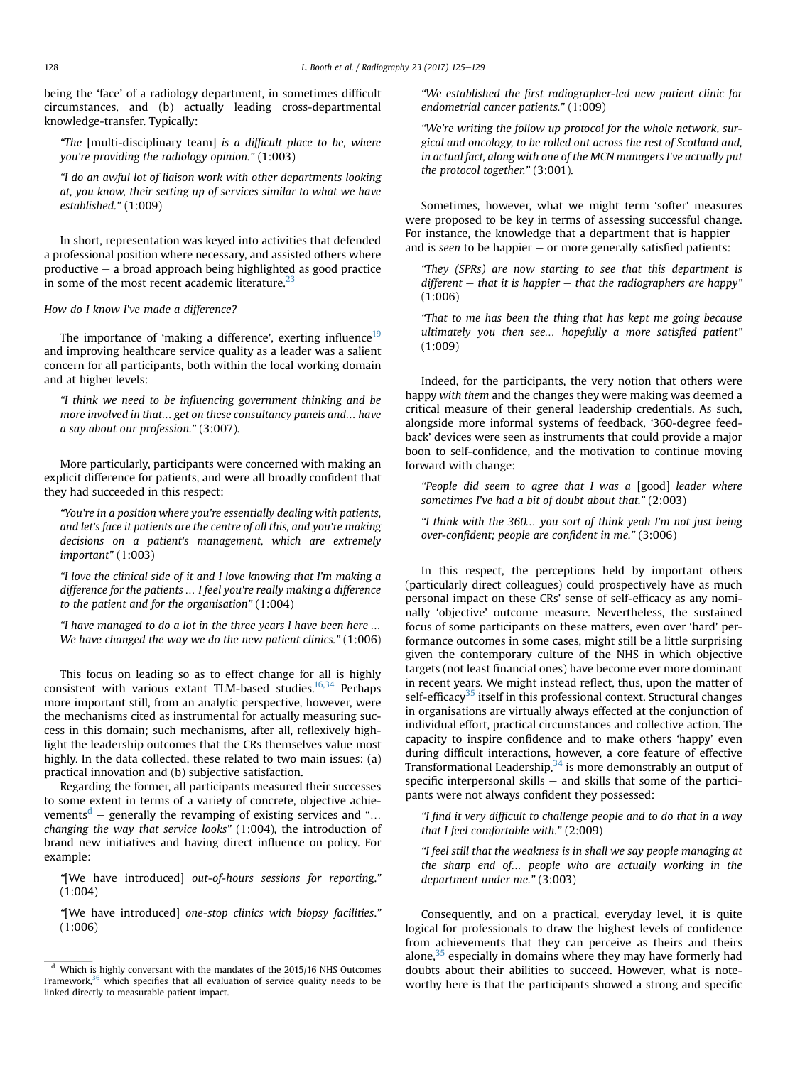being the 'face' of a radiology department, in sometimes difficult circumstances, and (b) actually leading cross-departmental knowledge-transfer. Typically:

"The [multi-disciplinary team] is a difficult place to be, where you're providing the radiology opinion." (1:003)

"I do an awful lot of liaison work with other departments looking at, you know, their setting up of services similar to what we have established." (1:009)

In short, representation was keyed into activities that defended a professional position where necessary, and assisted others where productive  $-$  a broad approach being highlighted as good practice in some of the most recent academic literature. $23$ 

How do I know I've made a difference?

The importance of 'making a difference', exerting influence<sup>19</sup> and improving healthcare service quality as a leader was a salient concern for all participants, both within the local working domain and at higher levels:

"I think we need to be influencing government thinking and be more involved in that… get on these consultancy panels and… have a say about our profession." (3:007).

More particularly, participants were concerned with making an explicit difference for patients, and were all broadly confident that they had succeeded in this respect:

"You're in a position where you're essentially dealing with patients, and let's face it patients are the centre of all this, and you're making decisions on a patient's management, which are extremely important" (1:003)

"I love the clinical side of it and I love knowing that I'm making a difference for the patients … I feel you're really making a difference to the patient and for the organisation" (1:004)

"I have managed to do a lot in the three years I have been here … We have changed the way we do the new patient clinics." (1:006)

This focus on leading so as to effect change for all is highly consistent with various extant TLM-based studies.<sup>16,34</sup> Perhaps more important still, from an analytic perspective, however, were the mechanisms cited as instrumental for actually measuring success in this domain; such mechanisms, after all, reflexively highlight the leadership outcomes that the CRs themselves value most highly. In the data collected, these related to two main issues: (a) practical innovation and (b) subjective satisfaction.

Regarding the former, all participants measured their successes to some extent in terms of a variety of concrete, objective achievements<sup>d</sup> – generally the revamping of existing services and "... changing the way that service looks" (1:004), the introduction of brand new initiatives and having direct influence on policy. For example:

"[We have introduced] out-of-hours sessions for reporting." (1:004)

"[We have introduced] one-stop clinics with biopsy facilities." (1:006)

"We established the first radiographer-led new patient clinic for endometrial cancer patients." (1:009)

"We're writing the follow up protocol for the whole network, surgical and oncology, to be rolled out across the rest of Scotland and, in actual fact, along with one of the MCN managers I've actually put the protocol together." (3:001).

Sometimes, however, what we might term 'softer' measures were proposed to be key in terms of assessing successful change. For instance, the knowledge that a department that is happier  $-\frac{1}{2}$ and is seen to be happier  $-$  or more generally satisfied patients:

"They (SPRs) are now starting to see that this department is different  $-$  that it is happier  $-$  that the radiographers are happy" (1:006)

"That to me has been the thing that has kept me going because ultimately you then see… hopefully a more satisfied patient" (1:009)

Indeed, for the participants, the very notion that others were happy with them and the changes they were making was deemed a critical measure of their general leadership credentials. As such, alongside more informal systems of feedback, '360-degree feedback' devices were seen as instruments that could provide a major boon to self-confidence, and the motivation to continue moving forward with change:

"People did seem to agree that I was a [good] leader where sometimes I've had a bit of doubt about that." (2:003)

"I think with the 360… you sort of think yeah I'm not just being over-confident; people are confident in me." (3:006)

In this respect, the perceptions held by important others (particularly direct colleagues) could prospectively have as much personal impact on these CRs' sense of self-efficacy as any nominally 'objective' outcome measure. Nevertheless, the sustained focus of some participants on these matters, even over 'hard' performance outcomes in some cases, might still be a little surprising given the contemporary culture of the NHS in which objective targets (not least financial ones) have become ever more dominant in recent years. We might instead reflect, thus, upon the matter of self-efficacy<sup>[35](#page-4-0)</sup> itself in this professional context. Structural changes in organisations are virtually always effected at the conjunction of individual effort, practical circumstances and collective action. The capacity to inspire confidence and to make others 'happy' even during difficult interactions, however, a core feature of effective Transformational Leadership, $34$  is more demonstrably an output of specific interpersonal skills  $-$  and skills that some of the participants were not always confident they possessed:

"I find it very difficult to challenge people and to do that in a way that I feel comfortable with." (2:009)

"I feel still that the weakness is in shall we say people managing at the sharp end of… people who are actually working in the department under me." (3:003)

Consequently, and on a practical, everyday level, it is quite logical for professionals to draw the highest levels of confidence from achievements that they can perceive as theirs and theirs alone, $35$  especially in domains where they may have formerly had doubts about their abilities to succeed. However, what is noteworthy here is that the participants showed a strong and specific

 $d$  Which is highly conversant with the mandates of the 2015/16 NHS Outcomes Framework, $36$  which specifies that all evaluation of service quality needs to be linked directly to measurable patient impact.